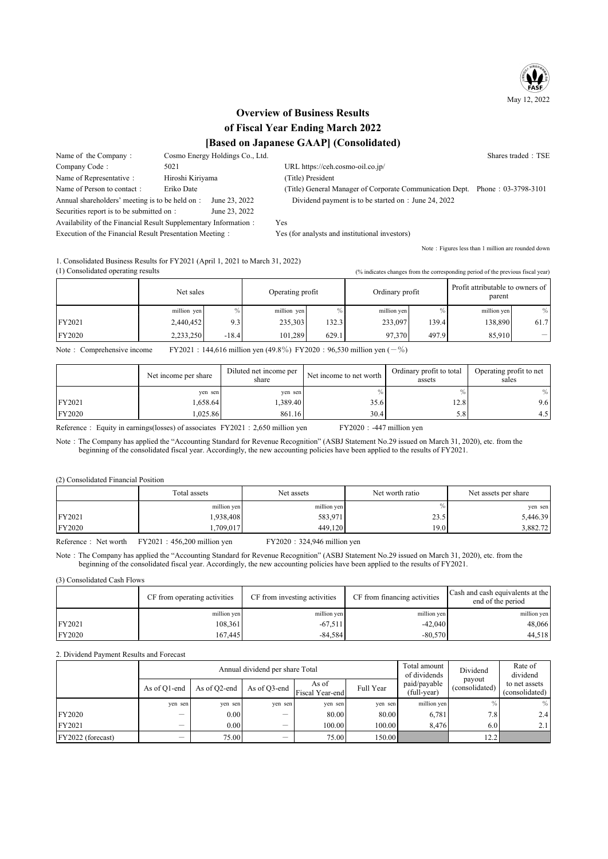

# **Overview of Business Results** of Fiscal Year Ending March 2022 [Based on Japanese GAAP] (Consolidated)

Name of the Company: Cosmo Energy Holdings Co., Ltd. Shares traded: TSE 5021 Company Code: URL https://ceh.cosmo-oil.co.ip/ Name of Representative: Hiroshi Kiriyama (Title) President Eriko Date Name of Person to contact: (Title) General Manager of Corporate Communication Dept. Phone: 03-3798-3101 Annual shareholders' meeting is to be held on : June 23, 2022 Dividend payment is to be started on : June 24, 2022 Securities report is to be submitted on : June 23, 2022 Availability of the Financial Result Supplementary Information: Yes Execution of the Financial Result Presentation Meeting: Yes (for analysts and institutional investors)

1. Consolidated Business Results for FY2021 (April 1, 2021 to March 31, 2022)

(1) Consolidated operating results

(% indicates changes from the corresponding period of the previous fiscal year)

Note: Figures less than 1 million are rounded down

|        | Net sales   |         | Operating profit |       | Ordinary profit |        | Profit attributable to owners of<br>parent |               |
|--------|-------------|---------|------------------|-------|-----------------|--------|--------------------------------------------|---------------|
|        | million yen |         | million yen      | $\%$  | million yen     |        | million yen                                | $\frac{0}{0}$ |
| FY2021 | 2,440,452   | 9.3     | 235,303          | 132.3 | 233,097         | 139.41 | 138,890                                    | 61.7          |
| FY2020 | 2,233,250   | $-18.4$ | 101.289          | 629.1 | 97,370          | 497.9  | 85.910                                     | -             |

Note: Comprehensive income FY2021 : 144,616 million yen (49.8%) FY2020 : 96,530 million yen ( $-\%$ )

|        | Net income per share | Diluted net income per<br>share | Net income to net worth | Ordinary profit to total<br>assets | Operating profit to net<br>sales |
|--------|----------------------|---------------------------------|-------------------------|------------------------------------|----------------------------------|
|        | yen sen              | yen sen                         |                         |                                    | $\%$                             |
| FY2021 | 1.658.64             | .389.40                         | 35.6                    | 12.8'                              | 9.6I                             |
| FY2020 | 1.025.86             | 861.16                          | 30.4                    | 5.8                                | 4.5 I                            |

Reference: Equity in earnings(losses) of associates FY2021: 2,650 million yen  $FY2020: -447$  million yen

Note: The Company has applied the "Accounting Standard for Revenue Recognition" (ASBJ Statement No.29 issued on March 31, 2020), etc. from the beginning of the consolidated fiscal year. Accordingly, the new accounting policies have been applied to the results of FY2021.

(2) Consolidated Financial Position

|        | Total assets | Net assets  | Net worth ratio | Net assets per share |  |
|--------|--------------|-------------|-----------------|----------------------|--|
|        | million yen  | million yen | $\%$            | yen sen              |  |
| FY2021 | !938,408     | 583,971     | 23.5            | 5,446.39             |  |
| FY2020 | ,709,017     | 449.120     | 19.01           | 3,882.72             |  |

Reference: Net worth FY2021: 456,200 million yen FY2020: 324,946 million yen

Note: The Company has applied the "Accounting Standard for Revenue Recognition" (ASBJ Statement No.29 issued on March 31, 2020), etc. from the beginning of the consolidated fiscal year. Accordingly, the new accounting policies have been applied to the results of FY2021.

(3) Consolidated Cash Flows

|        | CF from operating activities | CF from investing activities | CF from financing activities | Cash and cash equivalents at the<br>end of the period |
|--------|------------------------------|------------------------------|------------------------------|-------------------------------------------------------|
|        | million ven                  | million yen                  | million yen                  | million yen                                           |
| FY2021 | 108.361                      | $-67.511$                    | $-42,040$                    | 48,066                                                |
| FY2020 | 167.445                      | $-84.584$                    | $-80.570$                    | 44,518                                                |

#### 2. Dividend Payment Results and Forecast

|                   |              |              | Annual dividend per share Total | Total amount<br>of dividends                           | Dividend  | Rate of<br>dividend         |                          |                                 |
|-------------------|--------------|--------------|---------------------------------|--------------------------------------------------------|-----------|-----------------------------|--------------------------|---------------------------------|
|                   | As of Q1-end | As of Q2-end |                                 | As of<br>$\therefore$ As of Q3-end $ $ Fiscal Year-end | Full Year | paid/payable<br>(full-year) | payout<br>(consolidated) | to net assets<br>(consolidated) |
|                   | yen sen      | yen sen      | yen sen                         | yen sen                                                | yen sen   | million yen                 | $\%$ .                   | $\frac{0}{0}$                   |
| <b>FY2020</b>     | -            | 0.00         |                                 | 80.00                                                  | 80.00     | 6,781                       | 7.8                      | 2.4                             |
| FY2021            | -            | 0.00         | $\overline{\phantom{a}}$        | 100.00                                                 | 100.001   | 8.476                       | 6.0                      | 2.11                            |
| FY2022 (forecast) | _            | 75.00        | -                               | 75.00                                                  | 150.00    |                             | 12.2                     |                                 |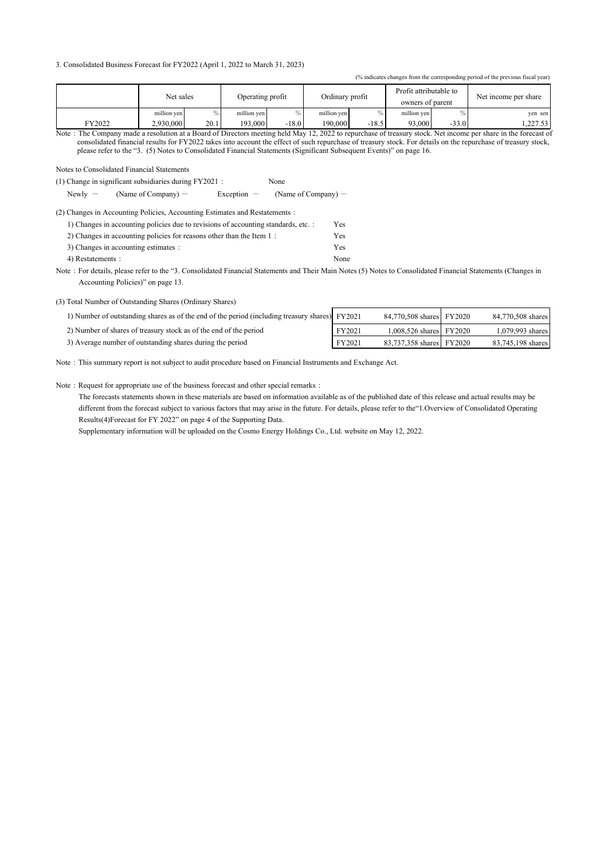#### 3. Consolidated Business Forecast for FY2022 (April 1, 2022 to March 31, 2023)

| (% indicates changes from the corresponding period of the previous fiscal year) |             |      |             |                  |             |                 |             |         |          |                                            |                      |  |
|---------------------------------------------------------------------------------|-------------|------|-------------|------------------|-------------|-----------------|-------------|---------|----------|--------------------------------------------|----------------------|--|
|                                                                                 | Net sales   |      |             | Operating profit |             | Ordinary profit |             |         |          | Profit attributable to<br>owners of parent | Net income per share |  |
|                                                                                 | million ven | $\%$ | million yen |                  | million yen |                 | million yen |         | yen sen  |                                            |                      |  |
| FY2022                                                                          | 2.930,000   | 20.1 | 193,000     | $-18.0$          | 190.000     | $-18.5$         | 93,000      | $-33.0$ | 1.227.53 |                                            |                      |  |

Note : The Company made a resolution at a Board of Directors meeting held May 12, 2022 to repurchase of treasury stock. Net income per share in the forecast of consolidated financial results for FY2022 takes into account the effect of such repurchase of treasury stock. For details on the repurchase of treasury stock, please refer to the "3. (5) Notes to Consolidated Financial Statements (Significant Subsequent Events)" on page 16.

 $\cdot$ 

Notes to Consolidated Financial Statements

(1) Change in significant subsidiaries during FY2021 : None

Newly  $-$ (Name of Company) -Exception -(Name of Company) -

| (2) Changes in Accounting Policies, Accounting Estimates and Restatements:              |  |  |  |  |  |
|-----------------------------------------------------------------------------------------|--|--|--|--|--|
| $15.01$ and $1.1$ and $1.1$ and $1.1$ and $1.1$ and $1.1$ and $1.1$ and $1.1$ and $1.1$ |  |  |  |  |  |

|                                                                      | r es |
|----------------------------------------------------------------------|------|
| 2) Changes in accounting policies for reasons other than the Item 1: | Yes  |
| 3) Changes in accounting estimates :                                 | Yes  |
| 4) Restatements :                                                    | None |

Note : For details, please refer to the "3. Consolidated Financial Statements and Their Main Notes (5) Notes to Consolidated Financial Statements (Changes in Accounting Policies)" on page 13.

(3) Total Number of Outstanding Shares (Ordinary Shares)

| 1) Number of outstanding shares as of the end of the period (including treasury shares) FY2021 |        | 84,770,508 shares FY2020  | 84,770,508 shares |
|------------------------------------------------------------------------------------------------|--------|---------------------------|-------------------|
| 2) Number of shares of treasury stock as of the end of the period                              | FY2021 | 1,008,526 shares   FY2020 | 1,079,993 shares  |
| 3) Average number of outstanding shares during the period                                      | FY2021 | 83,737,358 shares FY2020  | 83,745,198 shares |

Note : This summary report is not subject to audit procedure based on Financial Instruments and Exchange Act.

Note: Request for appropriate use of the business forecast and other special remarks:

The forecasts statements shown in these materials are based on information available as of the published date of this release and actual results may be different from the forecast subject to various factors that may arise in the future. For details, please refer to the"1. Overview of Consolidated Operating Results(4)Forecast for FY 2022" on page 4 of the Supporting Data.

Supplementary information will be uploaded on the Cosmo Energy Holdings Co., Ltd. website on May 12, 2022.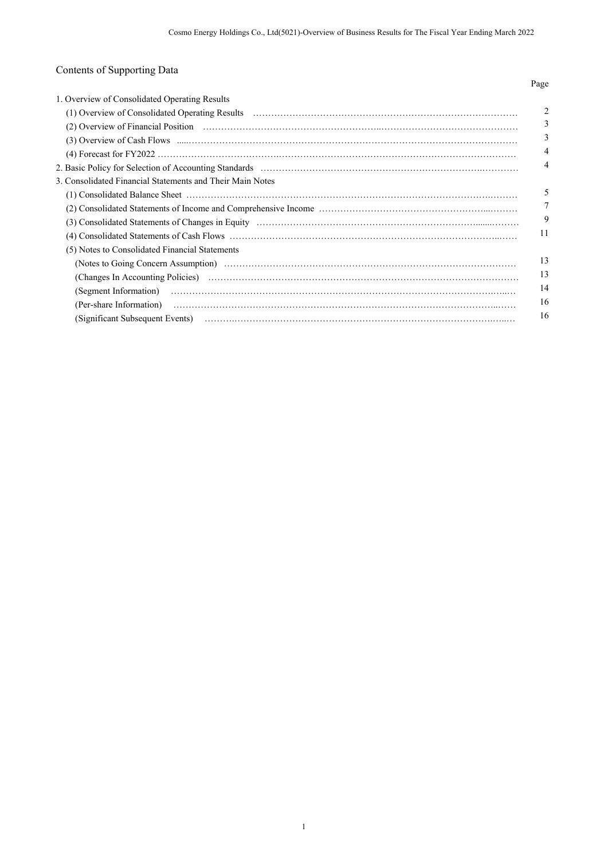# Contents of Supporting Data

|                                                           | Page           |
|-----------------------------------------------------------|----------------|
| 1. Overview of Consolidated Operating Results             |                |
|                                                           | 2              |
|                                                           | 3              |
|                                                           | 3              |
|                                                           | $\overline{4}$ |
|                                                           | 4              |
| 3. Consolidated Financial Statements and Their Main Notes |                |
|                                                           |                |
|                                                           | 7              |
|                                                           | 9              |
|                                                           | 11             |
| (5) Notes to Consolidated Financial Statements            |                |
|                                                           | 13             |
|                                                           | 13             |
|                                                           | 14             |
|                                                           | 16             |
|                                                           | 16             |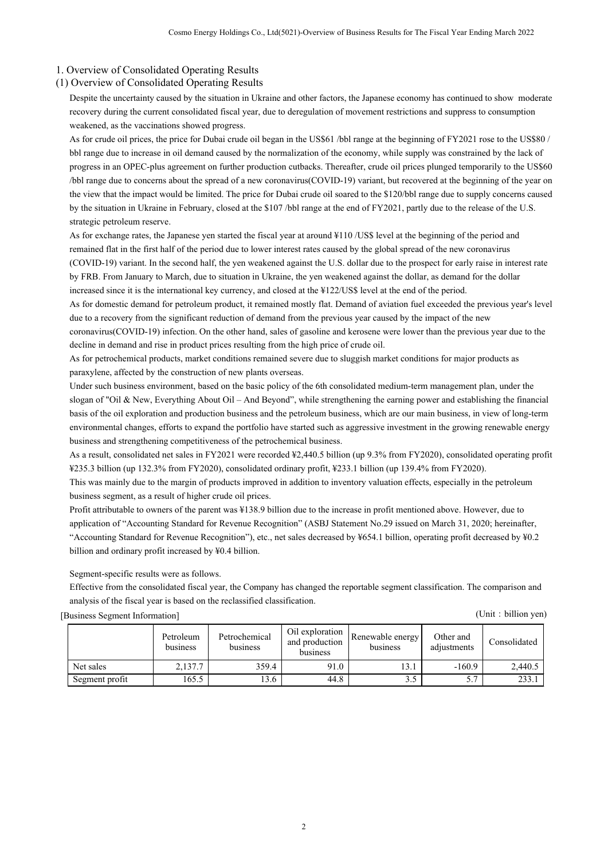## 1. Overview of Consolidated Operating Results

## (1) Overview of Consolidated Operating Results

Despite the uncertainty caused by the situation in Ukraine and other factors, the Japanese economy has continued to show moderate recovery during the current consolidated fiscal year, due to deregulation of movement restrictions and suppress to consumption weakened, as the vaccinations showed progress.

As for crude oil prices, the price for Dubai crude oil began in the US\$61 /bbl range at the beginning of FY2021 rose to the US\$80 / bbl range due to increase in oil demand caused by the normalization of the economy, while supply was constrained by the lack of progress in an OPEC-plus agreement on further production cutbacks. Thereafter, crude oil prices plunged temporarily to the US\$60 /bbl range due to concerns about the spread of a new coronavirus(COVID-19) variant, but recovered at the beginning of the year on the view that the impact would be limited. The price for Dubai crude oil soared to the \$120/bbl range due to supply concerns caused by the situation in Ukraine in February, closed at the \$107 /bbl range at the end of FY2021, partly due to the release of the U.S. strategic petroleum reserve.

As for exchange rates, the Japanese yen started the fiscal year at around ¥110 /US\$ level at the beginning of the period and remained flat in the first half of the period due to lower interest rates caused by the global spread of the new coronavirus (COVID-19) variant. In the second half, the yen weakened against the U.S. dollar due to the prospect for early raise in interest rate by FRB. From January to March, due to situation in Ukraine, the yen weakened against the dollar, as demand for the dollar increased since it is the international key currency, and closed at the ¥122/US\$ level at the end of the period.

As for domestic demand for petroleum product, it remained mostly flat. Demand of aviation fuel exceeded the previous year's level due to a recovery from the significant reduction of demand from the previous year caused by the impact of the new

coronavirus(COVID-19) infection. On the other hand, sales of gasoline and kerosene were lower than the previous year due to the decline in demand and rise in product prices resulting from the high price of crude oil.

As for petrochemical products, market conditions remained severe due to sluggish market conditions for major products as paraxylene, affected by the construction of new plants overseas.

Under such business environment, based on the basic policy of the 6th consolidated medium-term management plan, under the slogan of "Oil & New, Everything About Oil – And Beyond", while strengthening the earning power and establishing the financial basis of the oil exploration and production business and the petroleum business, which are our main business, in view of long-term environmental changes, efforts to expand the portfolio have started such as aggressive investment in the growing renewable energy business and strengthening competitiveness of the petrochemical business.

As a result, consolidated net sales in FY2021 were recorded ¥2,440.5 billion (up 9.3% from FY2020), consolidated operating profit ¥235.3 billion (up 132.3% from FY2020), consolidated ordinary profit, ¥233.1 billion (up 139.4% from FY2020).

This was mainly due to the margin of products improved in addition to inventory valuation effects, especially in the petroleum business segment, as a result of higher crude oil prices.

Profit attributable to owners of the parent was ¥138.9 billion due to the increase in profit mentioned above. However, due to application of "Accounting Standard for Revenue Recognition" (ASBJ Statement No.29 issued on March 31, 2020; hereinafter, "Accounting Standard for Revenue Recognition"), etc., net sales decreased by ¥654.1 billion, operating profit decreased by ¥0.2 billion and ordinary profit increased by ¥0.4 billion.

Segment-specific results were as follows.

Effective from the consolidated fiscal year, the Company has changed the reportable segment classification. The comparison and analysis of the fiscal year is based on the reclassified classification.

[Business Segment Information] (Unit:billion yen)

|                | Petroleum<br>business | Petrochemical<br>business | Oil exploration<br>and production<br>business | Renewable energy<br>business | Other and<br>adjustments | Consolidated |
|----------------|-----------------------|---------------------------|-----------------------------------------------|------------------------------|--------------------------|--------------|
| Net sales      | 2.137.7               | 359.4                     | 91.0                                          | 13.1                         | $-160.9$                 | 2,440.5      |
| Segment profit | 165.5                 | $3.6^{\circ}$             | 44.8                                          |                              | 5.7                      | 233.1        |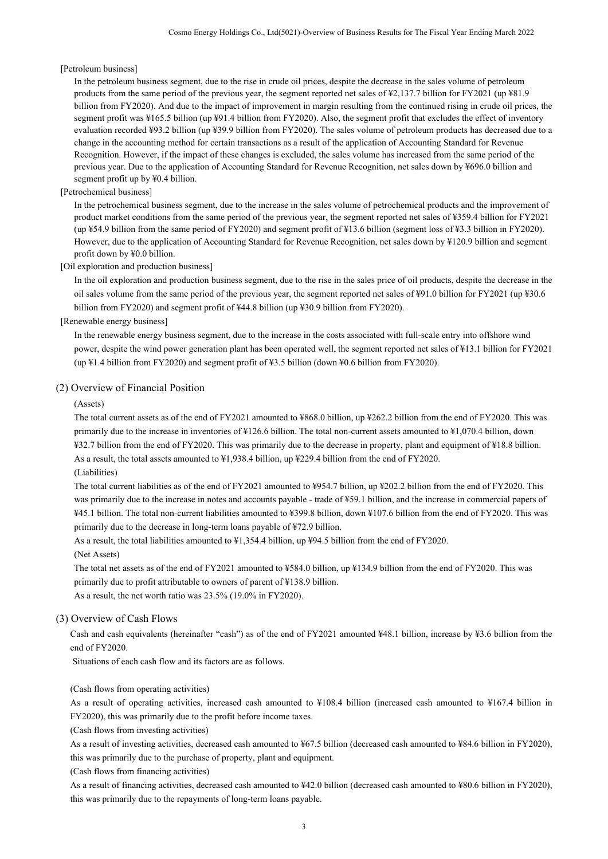#### [Petroleum business]

In the petroleum business segment, due to the rise in crude oil prices, despite the decrease in the sales volume of petroleum products from the same period of the previous year, the segment reported net sales of ¥2,137.7 billion for FY2021 (up ¥81.9 billion from FY2020). And due to the impact of improvement in margin resulting from the continued rising in crude oil prices, the segment profit was ¥165.5 billion (up ¥91.4 billion from FY2020). Also, the segment profit that excludes the effect of inventory evaluation recorded ¥93.2 billion (up ¥39.9 billion from FY2020). The sales volume of petroleum products has decreased due to a change in the accounting method for certain transactions as a result of the application of Accounting Standard for Revenue Recognition. However, if the impact of these changes is excluded, the sales volume has increased from the same period of the previous year. Due to the application of Accounting Standard for Revenue Recognition, net sales down by ¥696.0 billion and segment profit up by ¥0.4 billion.

#### [Petrochemical business]

In the petrochemical business segment, due to the increase in the sales volume of petrochemical products and the improvement of product market conditions from the same period of the previous year, the segment reported net sales of ¥359.4 billion for FY2021 (up ¥54.9 billion from the same period of FY2020) and segment profit of ¥13.6 billion (segment loss of ¥3.3 billion in FY2020). However, due to the application of Accounting Standard for Revenue Recognition, net sales down by ¥120.9 billion and segment profit down by ¥0.0 billion.

### [Oil exploration and production business]

In the oil exploration and production business segment, due to the rise in the sales price of oil products, despite the decrease in the oil sales volume from the same period of the previous year, the segment reported net sales of ¥91.0 billion for FY2021 (up ¥30.6 billion from FY2020) and segment profit of ¥44.8 billion (up ¥30.9 billion from FY2020).

#### [Renewable energy business]

In the renewable energy business segment, due to the increase in the costs associated with full-scale entry into offshore wind power, despite the wind power generation plant has been operated well, the segment reported net sales of ¥13.1 billion for FY2021 (up ¥1.4 billion from FY2020) and segment profit of ¥3.5 billion (down ¥0.6 billion from FY2020).

#### (2) Overview of Financial Position

#### (Assets)

The total current assets as of the end of FY2021 amounted to ¥868.0 billion, up ¥262.2 billion from the end of FY2020. This was primarily due to the increase in inventories of ¥126.6 billion. The total non-current assets amounted to ¥1,070.4 billion, down ¥32.7 billion from the end of FY2020. This was primarily due to the decrease in property, plant and equipment of ¥18.8 billion. As a result, the total assets amounted to ¥1,938.4 billion, up ¥229.4 billion from the end of FY2020.

### (Liabilities)

The total current liabilities as of the end of FY2021 amounted to ¥954.7 billion, up ¥202.2 billion from the end of FY2020. This was primarily due to the increase in notes and accounts payable - trade of ¥59.1 billion, and the increase in commercial papers of ¥45.1 billion. The total non-current liabilities amounted to ¥399.8 billion, down ¥107.6 billion from the end of FY2020. This was primarily due to the decrease in long-term loans payable of ¥72.9 billion.

As a result, the total liabilities amounted to ¥1,354.4 billion, up ¥94.5 billion from the end of FY2020.

#### (Net Assets)

The total net assets as of the end of FY2021 amounted to ¥584.0 billion, up ¥134.9 billion from the end of FY2020. This was primarily due to profit attributable to owners of parent of ¥138.9 billion.

As a result, the net worth ratio was 23.5% (19.0% in FY2020).

## (3) Overview of Cash Flows

Cash and cash equivalents (hereinafter "cash") as of the end of FY2021 amounted ¥48.1 billion, increase by ¥3.6 billion from the end of FY2020.

Situations of each cash flow and its factors are as follows.

#### (Cash flows from operating activities)

As a result of operating activities, increased cash amounted to ¥108.4 billion (increased cash amounted to ¥167.4 billion in FY2020), this was primarily due to the profit before income taxes.

(Cash flows from investing activities)

As a result of investing activities, decreased cash amounted to ¥67.5 billion (decreased cash amounted to ¥84.6 billion in FY2020), this was primarily due to the purchase of property, plant and equipment.

(Cash flows from financing activities)

As a result of financing activities, decreased cash amounted to ¥42.0 billion (decreased cash amounted to ¥80.6 billion in FY2020), this was primarily due to the repayments of long-term loans payable.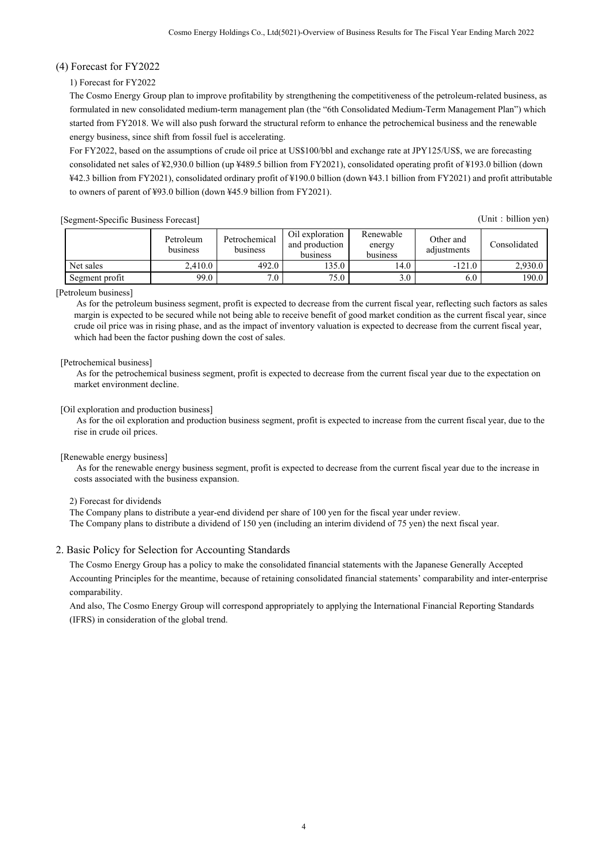## (4) Forecast for FY2022

## 1) Forecast for FY2022

The Cosmo Energy Group plan to improve profitability by strengthening the competitiveness of the petroleum-related business, as formulated in new consolidated medium-term management plan (the "6th Consolidated Medium-Term Management Plan") which started from FY2018. We will also push forward the structural reform to enhance the petrochemical business and the renewable energy business, since shift from fossil fuel is accelerating.

For FY2022, based on the assumptions of crude oil price at US\$100/bbl and exchange rate at JPY125/US\$, we are forecasting consolidated net sales of ¥2,930.0 billion (up ¥489.5 billion from FY2021), consolidated operating profit of ¥193.0 billion (down ¥42.3 billion from FY2021), consolidated ordinary profit of ¥190.0 billion (down ¥43.1 billion from FY2021) and profit attributable to owners of parent of ¥93.0 billion (down ¥45.9 billion from FY2021).

(Unit: billion yen)

|                | Petroleum<br>business | Petrochemical<br>business | Oil exploration<br>and production<br>business | Renewable<br>energy<br>business | Other and<br>adjustments | Consolidated |
|----------------|-----------------------|---------------------------|-----------------------------------------------|---------------------------------|--------------------------|--------------|
| Net sales      | 2.410.0               | 492.0                     | 135.0                                         | 14.0                            | $-121.0$                 | 2.930.0      |
| Segment profit | 99.0                  | 7.0                       | 75.0                                          | 3.0                             | 6.0                      | 190.0        |

## [Petroleum business]

 As for the petroleum business segment, profit is expected to decrease from the current fiscal year, reflecting such factors as sales margin is expected to be secured while not being able to receive benefit of good market condition as the current fiscal year, since crude oil price was in rising phase, and as the impact of inventory valuation is expected to decrease from the current fiscal year, which had been the factor pushing down the cost of sales.

## [Petrochemical business]

 As for the petrochemical business segment, profit is expected to decrease from the current fiscal year due to the expectation on market environment decline.

## [Oil exploration and production business]

 As for the oil exploration and production business segment, profit is expected to increase from the current fiscal year, due to the rise in crude oil prices.

## [Renewable energy business]

 As for the renewable energy business segment, profit is expected to decrease from the current fiscal year due to the increase in costs associated with the business expansion.

2) Forecast for dividends

The Company plans to distribute a year-end dividend per share of 100 yen for the fiscal year under review. The Company plans to distribute a dividend of 150 yen (including an interim dividend of 75 yen) the next fiscal year.

## 2. Basic Policy for Selection for Accounting Standards

The Cosmo Energy Group has a policy to make the consolidated financial statements with the Japanese Generally Accepted Accounting Principles for the meantime, because of retaining consolidated financial statements' comparability and inter-enterprise comparability.

And also, The Cosmo Energy Group will correspond appropriately to applying the International Financial Reporting Standards (IFRS) in consideration of the global trend.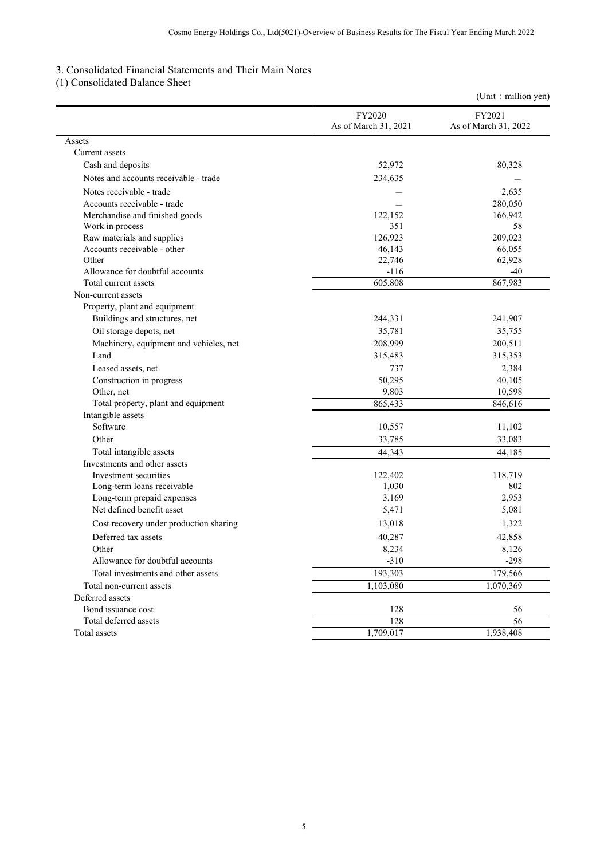## 3. Consolidated Financial Statements and Their Main Notes

## (1) Consolidated Balance Sheet

|                                        |                                | (Unit : million yen)           |
|----------------------------------------|--------------------------------|--------------------------------|
|                                        | FY2020<br>As of March 31, 2021 | FY2021<br>As of March 31, 2022 |
| Assets                                 |                                |                                |
| Current assets                         |                                |                                |
| Cash and deposits                      | 52,972                         | 80,328                         |
| Notes and accounts receivable - trade  | 234,635                        |                                |
| Notes receivable - trade               |                                | 2,635                          |
| Accounts receivable - trade            |                                | 280,050                        |
| Merchandise and finished goods         | 122,152                        | 166,942                        |
| Work in process                        | 351                            | 58                             |
| Raw materials and supplies             | 126,923                        | 209,023                        |
| Accounts receivable - other            | 46,143                         | 66,055                         |
| Other                                  | 22,746                         | 62,928                         |
| Allowance for doubtful accounts        | $-116$                         | $-40$                          |
| Total current assets                   | 605,808                        | 867,983                        |
| Non-current assets                     |                                |                                |
| Property, plant and equipment          |                                |                                |
| Buildings and structures, net          | 244,331                        | 241,907                        |
| Oil storage depots, net                | 35,781                         | 35,755                         |
| Machinery, equipment and vehicles, net | 208,999                        | 200,511                        |
| Land                                   | 315,483                        | 315,353                        |
| Leased assets, net                     | 737                            | 2,384                          |
| Construction in progress               | 50,295                         | 40,105                         |
| Other, net                             | 9,803                          | 10,598                         |
| Total property, plant and equipment    | 865,433                        | 846,616                        |
| Intangible assets                      |                                |                                |
| Software                               | 10,557                         | 11,102                         |
| Other                                  | 33,785                         | 33,083                         |
| Total intangible assets                | 44,343                         | 44,185                         |
| Investments and other assets           |                                |                                |
| Investment securities                  | 122,402                        | 118,719                        |
| Long-term loans receivable             | 1,030                          | 802                            |
| Long-term prepaid expenses             | 3,169                          | 2,953                          |
| Net defined benefit asset              | 5,471                          | 5,081                          |
| Cost recovery under production sharing | 13,018                         | 1,322                          |
| Deferred tax assets                    | 40,287                         | 42,858                         |
| Other                                  | 8,234                          | 8,126                          |
| Allowance for doubtful accounts        | $-310$                         | $-298$                         |
| Total investments and other assets     | 193,303                        | 179,566                        |
| Total non-current assets               | 1,103,080                      | 1,070,369                      |
| Deferred assets                        |                                |                                |
| Bond issuance cost                     | 128                            | 56                             |
| Total deferred assets                  | 128                            | 56                             |
| Total assets                           | 1,709,017                      | 1,938,408                      |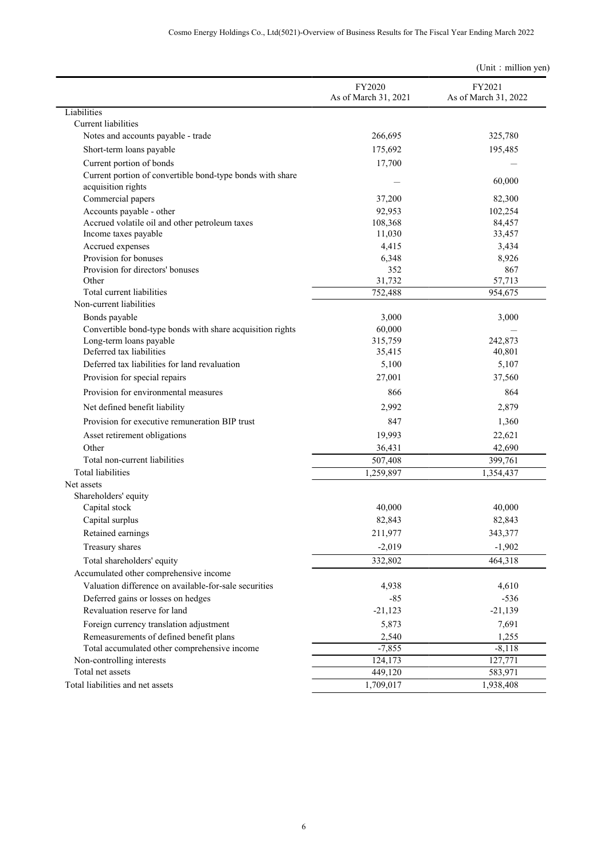|                                                                                 |                                | (Unit : million yen)           |
|---------------------------------------------------------------------------------|--------------------------------|--------------------------------|
|                                                                                 | FY2020<br>As of March 31, 2021 | FY2021<br>As of March 31, 2022 |
| Liabilities                                                                     |                                |                                |
| Current liabilities                                                             |                                |                                |
| Notes and accounts payable - trade                                              | 266,695                        | 325,780                        |
| Short-term loans payable                                                        | 175,692                        | 195,485                        |
| Current portion of bonds                                                        | 17,700                         |                                |
| Current portion of convertible bond-type bonds with share<br>acquisition rights |                                | 60,000                         |
| Commercial papers                                                               | 37,200                         | 82,300                         |
| Accounts payable - other                                                        | 92,953                         | 102,254                        |
| Accrued volatile oil and other petroleum taxes                                  | 108,368                        | 84,457                         |
| Income taxes payable                                                            | 11,030                         | 33,457                         |
| Accrued expenses                                                                | 4,415                          | 3,434                          |
| Provision for bonuses                                                           | 6,348                          | 8,926                          |
| Provision for directors' bonuses                                                | 352                            | 867                            |
| Other                                                                           | 31,732                         | 57,713                         |
| Total current liabilities                                                       | 752,488                        | 954,675                        |
| Non-current liabilities                                                         |                                |                                |
| Bonds payable                                                                   | 3,000                          | 3,000                          |
| Convertible bond-type bonds with share acquisition rights                       | 60,000                         |                                |
| Long-term loans payable                                                         | 315,759                        | 242,873                        |
| Deferred tax liabilities                                                        | 35,415                         | 40,801                         |
| Deferred tax liabilities for land revaluation                                   | 5,100                          | 5,107                          |
| Provision for special repairs                                                   | 27,001                         | 37,560                         |
| Provision for environmental measures                                            | 866                            | 864                            |
| Net defined benefit liability                                                   | 2,992                          | 2,879                          |
| Provision for executive remuneration BIP trust                                  | 847                            | 1,360                          |
| Asset retirement obligations                                                    | 19,993                         | 22,621                         |
| Other                                                                           | 36,431                         | 42,690                         |
| Total non-current liabilities                                                   | 507,408                        | 399,761                        |
| <b>Total liabilities</b>                                                        | 1,259,897                      | 1,354,437                      |
| Net assets                                                                      |                                |                                |
| Shareholders' equity                                                            |                                |                                |
| Capital stock                                                                   | 40,000                         | 40,000                         |
| Capital surplus                                                                 | 82,843                         | 82,843                         |
| Retained earnings                                                               | 211,977                        | 343,377                        |
| Treasury shares                                                                 | $-2,019$                       | $-1,902$                       |
| Total shareholders' equity                                                      | 332,802                        | 464,318                        |
| Accumulated other comprehensive income                                          |                                |                                |
| Valuation difference on available-for-sale securities                           | 4,938                          | 4,610                          |
| Deferred gains or losses on hedges                                              | $-85$                          | $-536$                         |
| Revaluation reserve for land                                                    | $-21,123$                      | $-21,139$                      |
| Foreign currency translation adjustment                                         | 5,873                          | 7,691                          |
| Remeasurements of defined benefit plans                                         | 2,540                          | 1,255                          |
| Total accumulated other comprehensive income                                    | $-7,855$                       | $-8,118$                       |
| Non-controlling interests                                                       | 124,173                        | 127,771                        |
| Total net assets                                                                | 449,120                        | 583,971                        |
| Total liabilities and net assets                                                | 1,709,017                      | 1,938,408                      |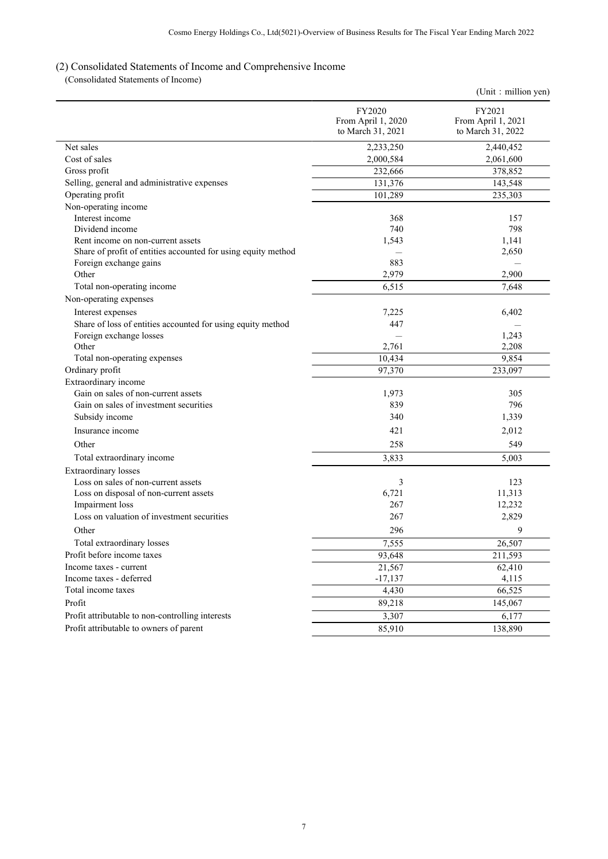## (2) Consolidated Statements of Income and Comprehensive Income

(Consolidated Statements of Income)

|                                                               |                                                   | (Unit : million yen)                              |
|---------------------------------------------------------------|---------------------------------------------------|---------------------------------------------------|
|                                                               | FY2020<br>From April 1, 2020<br>to March 31, 2021 | FY2021<br>From April 1, 2021<br>to March 31, 2022 |
| Net sales                                                     | 2,233,250                                         | 2,440,452                                         |
| Cost of sales                                                 | 2,000,584                                         | 2,061,600                                         |
| Gross profit                                                  | 232,666                                           | 378,852                                           |
| Selling, general and administrative expenses                  | 131,376                                           | 143,548                                           |
| Operating profit                                              | 101,289                                           | 235,303                                           |
| Non-operating income                                          |                                                   |                                                   |
| Interest income                                               | 368                                               | 157                                               |
| Dividend income                                               | 740                                               | 798                                               |
| Rent income on non-current assets                             | 1,543                                             | 1,141                                             |
| Share of profit of entities accounted for using equity method |                                                   | 2,650                                             |
| Foreign exchange gains                                        | 883                                               |                                                   |
| Other                                                         | 2,979                                             | 2,900                                             |
| Total non-operating income                                    | 6,515                                             | 7,648                                             |
| Non-operating expenses                                        |                                                   |                                                   |
| Interest expenses                                             | 7,225                                             | 6,402                                             |
| Share of loss of entities accounted for using equity method   | 447                                               |                                                   |
| Foreign exchange losses                                       |                                                   | 1,243                                             |
| Other                                                         | 2,761                                             | 2,208                                             |
| Total non-operating expenses                                  | 10,434                                            | 9,854                                             |
| Ordinary profit                                               | 97,370                                            | 233,097                                           |
| Extraordinary income                                          |                                                   |                                                   |
| Gain on sales of non-current assets                           | 1,973                                             | 305                                               |
| Gain on sales of investment securities                        | 839                                               | 796                                               |
| Subsidy income                                                | 340                                               | 1,339                                             |
| Insurance income                                              | 421                                               | 2,012                                             |
| Other                                                         | 258                                               | 549                                               |
| Total extraordinary income                                    | 3,833                                             | 5,003                                             |
| <b>Extraordinary losses</b>                                   |                                                   |                                                   |
| Loss on sales of non-current assets                           | 3                                                 | 123                                               |
| Loss on disposal of non-current assets                        | 6,721                                             | 11,313                                            |
| Impairment loss                                               | 267                                               | 12,232                                            |
| Loss on valuation of investment securities                    | 267                                               | 2,829                                             |
| Other                                                         | 296                                               | 9                                                 |
| Total extraordinary losses                                    | 7,555                                             | 26,507                                            |
| Profit before income taxes                                    | 93,648                                            | 211,593                                           |
| Income taxes - current                                        | 21,567                                            | 62,410                                            |
| Income taxes - deferred                                       | $-17,137$                                         | 4,115                                             |
| Total income taxes                                            | 4,430                                             | 66,525                                            |
| Profit                                                        | 89,218                                            | 145,067                                           |
| Profit attributable to non-controlling interests              | 3,307                                             | 6,177                                             |
| Profit attributable to owners of parent                       | 85,910                                            | 138,890                                           |
|                                                               |                                                   |                                                   |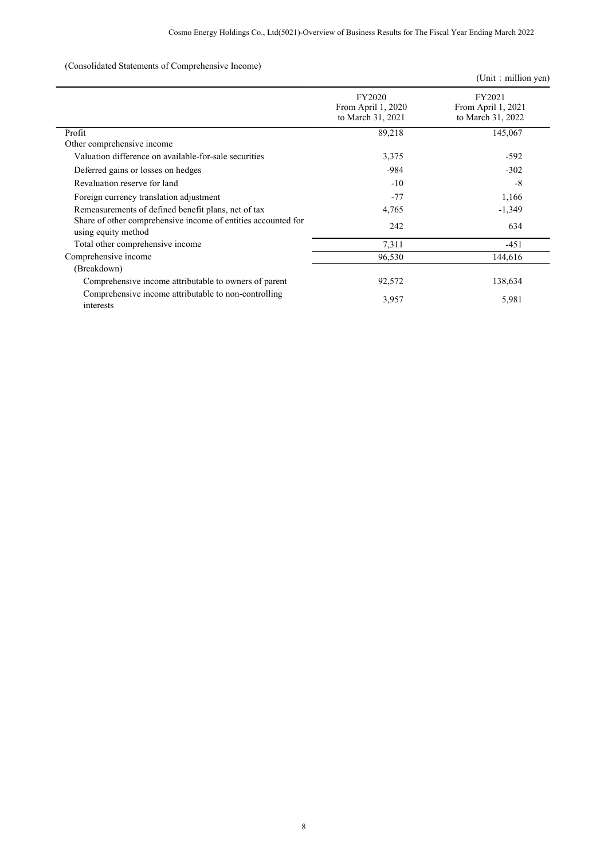## (Consolidated Statements of Comprehensive Income)

|                                                                                      |                                                   | (Unit: million yen)                               |
|--------------------------------------------------------------------------------------|---------------------------------------------------|---------------------------------------------------|
|                                                                                      | FY2020<br>From April 1, 2020<br>to March 31, 2021 | FY2021<br>From April 1, 2021<br>to March 31, 2022 |
| Profit                                                                               | 89,218                                            | 145,067                                           |
| Other comprehensive income                                                           |                                                   |                                                   |
| Valuation difference on available-for-sale securities                                | 3,375                                             | $-592$                                            |
| Deferred gains or losses on hedges                                                   | $-984$                                            | $-302$                                            |
| Revaluation reserve for land                                                         | $-10$                                             | $-8$                                              |
| Foreign currency translation adjustment                                              | $-77$                                             | 1,166                                             |
| Remeasurements of defined benefit plans, net of tax                                  | 4,765                                             | $-1,349$                                          |
| Share of other comprehensive income of entities accounted for<br>using equity method | 242                                               | 634                                               |
| Total other comprehensive income                                                     | 7,311                                             | $-451$                                            |
| Comprehensive income                                                                 | 96,530                                            | 144,616                                           |
| (Breakdown)                                                                          |                                                   |                                                   |
| Comprehensive income attributable to owners of parent                                | 92,572                                            | 138,634                                           |
| Comprehensive income attributable to non-controlling<br>interests                    | 3,957                                             | 5,981                                             |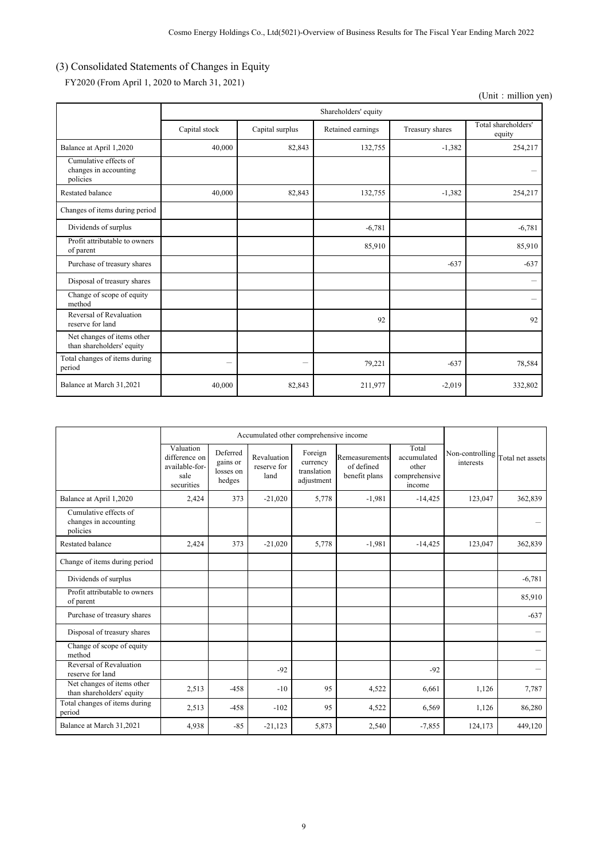# (3) Consolidated Statements of Changes in Equity

FY2020 (From April 1, 2020 to March 31, 2021)

<sup>(</sup>Unit: million yen)

|                                                            |               |                 | Shareholders' equity |                 |                               |
|------------------------------------------------------------|---------------|-----------------|----------------------|-----------------|-------------------------------|
|                                                            | Capital stock | Capital surplus | Retained earnings    | Treasury shares | Total shareholders'<br>equity |
| Balance at April 1,2020                                    | 40,000        | 82,843          | 132,755              | $-1,382$        | 254,217                       |
| Cumulative effects of<br>changes in accounting<br>policies |               |                 |                      |                 |                               |
| Restated balance                                           | 40,000        | 82,843          | 132,755              | $-1,382$        | 254,217                       |
| Changes of items during period                             |               |                 |                      |                 |                               |
| Dividends of surplus                                       |               |                 | $-6,781$             |                 | $-6,781$                      |
| Profit attributable to owners<br>of parent                 |               |                 | 85,910               |                 | 85,910                        |
| Purchase of treasury shares                                |               |                 |                      | $-637$          | $-637$                        |
| Disposal of treasury shares                                |               |                 |                      |                 |                               |
| Change of scope of equity<br>method                        |               |                 |                      |                 |                               |
| Reversal of Revaluation<br>reserve for land                |               |                 | 92                   |                 | 92                            |
| Net changes of items other<br>than shareholders' equity    |               |                 |                      |                 |                               |
| Total changes of items during<br>period                    | -             | -               | 79,221               | $-637$          | 78,584                        |
| Balance at March 31,2021                                   | 40,000        | 82,843          | 211,977              | $-2,019$        | 332,802                       |

|                                                            | Accumulated other comprehensive income                             |                                             |                                    |                                                  |                                               |                                                          |                                               |          |
|------------------------------------------------------------|--------------------------------------------------------------------|---------------------------------------------|------------------------------------|--------------------------------------------------|-----------------------------------------------|----------------------------------------------------------|-----------------------------------------------|----------|
|                                                            | Valuation<br>difference on<br>available-for-<br>sale<br>securities | Deferred<br>gains or<br>losses on<br>hedges | Revaluation<br>reserve for<br>land | Foreign<br>currency<br>translation<br>adjustment | Remeasurements<br>of defined<br>benefit plans | Total<br>accumulated<br>other<br>comprehensive<br>income | Non-controlling Total net assets<br>interests |          |
| Balance at April 1,2020                                    | 2,424                                                              | 373                                         | $-21,020$                          | 5,778                                            | $-1,981$                                      | $-14,425$                                                | 123,047                                       | 362,839  |
| Cumulative effects of<br>changes in accounting<br>policies |                                                                    |                                             |                                    |                                                  |                                               |                                                          |                                               |          |
| <b>Restated balance</b>                                    | 2,424                                                              | 373                                         | $-21,020$                          | 5,778                                            | $-1,981$                                      | $-14,425$                                                | 123,047                                       | 362,839  |
| Change of items during period                              |                                                                    |                                             |                                    |                                                  |                                               |                                                          |                                               |          |
| Dividends of surplus                                       |                                                                    |                                             |                                    |                                                  |                                               |                                                          |                                               | $-6,781$ |
| Profit attributable to owners<br>of parent                 |                                                                    |                                             |                                    |                                                  |                                               |                                                          |                                               | 85,910   |
| Purchase of treasury shares                                |                                                                    |                                             |                                    |                                                  |                                               |                                                          |                                               | $-637$   |
| Disposal of treasury shares                                |                                                                    |                                             |                                    |                                                  |                                               |                                                          |                                               |          |
| Change of scope of equity<br>method                        |                                                                    |                                             |                                    |                                                  |                                               |                                                          |                                               |          |
| Reversal of Revaluation<br>reserve for land                |                                                                    |                                             | $-92$                              |                                                  |                                               | $-92$                                                    |                                               |          |
| Net changes of items other<br>than shareholders' equity    | 2,513                                                              | $-458$                                      | $-10$                              | 95                                               | 4,522                                         | 6,661                                                    | 1,126                                         | 7,787    |
| Total changes of items during<br>period                    | 2,513                                                              | $-458$                                      | $-102$                             | 95                                               | 4,522                                         | 6,569                                                    | 1,126                                         | 86,280   |
| Balance at March 31,2021                                   | 4,938                                                              | $-85$                                       | $-21,123$                          | 5,873                                            | 2,540                                         | $-7,855$                                                 | 124,173                                       | 449,120  |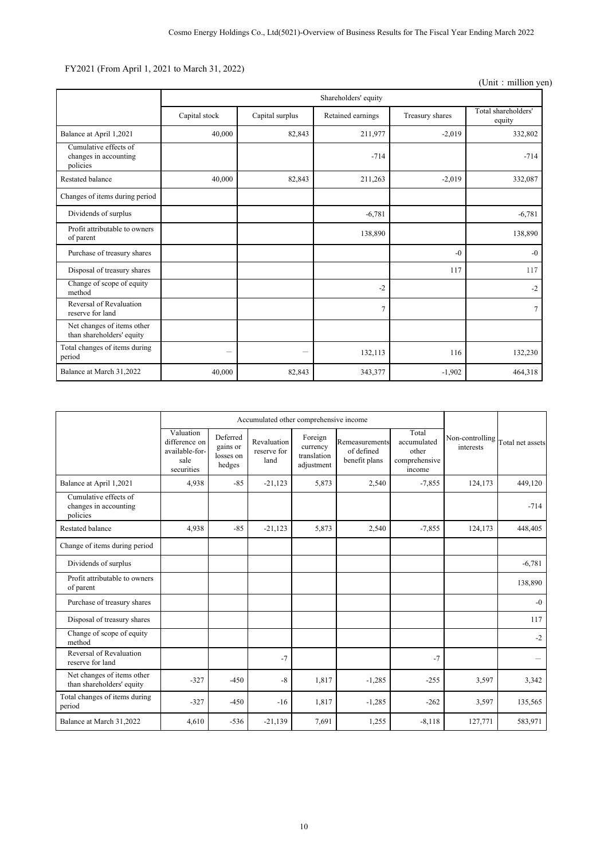# FY2021 (From April 1, 2021 to March 31, 2022)

<sup>(</sup>Unit: million yen)

|                                                            |               |                 | Shareholders' equity |                 |                               |
|------------------------------------------------------------|---------------|-----------------|----------------------|-----------------|-------------------------------|
|                                                            | Capital stock | Capital surplus | Retained earnings    | Treasury shares | Total shareholders'<br>equity |
| Balance at April 1,2021                                    | 40,000        | 82,843          | 211,977              | $-2,019$        | 332,802                       |
| Cumulative effects of<br>changes in accounting<br>policies |               |                 | $-714$               |                 | $-714$                        |
| Restated balance                                           | 40,000        | 82,843          | 211,263              | $-2,019$        | 332,087                       |
| Changes of items during period                             |               |                 |                      |                 |                               |
| Dividends of surplus                                       |               |                 | $-6,781$             |                 | $-6,781$                      |
| Profit attributable to owners<br>of parent                 |               |                 | 138,890              |                 | 138,890                       |
| Purchase of treasury shares                                |               |                 |                      | $-()$           | $-0$                          |
| Disposal of treasury shares                                |               |                 |                      | 117             | 117                           |
| Change of scope of equity<br>method                        |               |                 | $-2$                 |                 | $-2$                          |
| Reversal of Revaluation<br>reserve for land                |               |                 | $\overline{7}$       |                 | $\tau$                        |
| Net changes of items other<br>than shareholders' equity    |               |                 |                      |                 |                               |
| Total changes of items during<br>period                    | -             | -               | 132,113              | 116             | 132,230                       |
| Balance at March 31.2022                                   | 40,000        | 82,843          | 343,377              | $-1,902$        | 464,318                       |

|                                                            |                                                                    | Accumulated other comprehensive income      |                                    |                                                  |                                               |                                                          |                              |                  |
|------------------------------------------------------------|--------------------------------------------------------------------|---------------------------------------------|------------------------------------|--------------------------------------------------|-----------------------------------------------|----------------------------------------------------------|------------------------------|------------------|
|                                                            | Valuation<br>difference on<br>available-for-<br>sale<br>securities | Deferred<br>gains or<br>losses on<br>hedges | Revaluation<br>reserve for<br>land | Foreign<br>currency<br>translation<br>adjustment | Remeasurements<br>of defined<br>benefit plans | Total<br>accumulated<br>other<br>comprehensive<br>income | Non-controlling<br>interests | Total net assets |
| Balance at April 1,2021                                    | 4,938                                                              | $-85$                                       | $-21,123$                          | 5,873                                            | 2,540                                         | $-7,855$                                                 | 124,173                      | 449,120          |
| Cumulative effects of<br>changes in accounting<br>policies |                                                                    |                                             |                                    |                                                  |                                               |                                                          |                              | $-714$           |
| Restated balance                                           | 4,938                                                              | $-85$                                       | $-21,123$                          | 5,873                                            | 2,540                                         | $-7,855$                                                 | 124,173                      | 448,405          |
| Change of items during period                              |                                                                    |                                             |                                    |                                                  |                                               |                                                          |                              |                  |
| Dividends of surplus                                       |                                                                    |                                             |                                    |                                                  |                                               |                                                          |                              | $-6,781$         |
| Profit attributable to owners<br>of parent                 |                                                                    |                                             |                                    |                                                  |                                               |                                                          |                              | 138,890          |
| Purchase of treasury shares                                |                                                                    |                                             |                                    |                                                  |                                               |                                                          |                              | $-0$             |
| Disposal of treasury shares                                |                                                                    |                                             |                                    |                                                  |                                               |                                                          |                              | 117              |
| Change of scope of equity<br>method                        |                                                                    |                                             |                                    |                                                  |                                               |                                                          |                              | $-2$             |
| Reversal of Revaluation<br>reserve for land                |                                                                    |                                             | $-7$                               |                                                  |                                               | $-7$                                                     |                              |                  |
| Net changes of items other<br>than shareholders' equity    | $-327$                                                             | $-450$                                      | $-8$                               | 1,817                                            | $-1,285$                                      | $-255$                                                   | 3,597                        | 3,342            |
| Total changes of items during<br>period                    | $-327$                                                             | $-450$                                      | $-16$                              | 1,817                                            | $-1,285$                                      | $-262$                                                   | 3,597                        | 135,565          |
| Balance at March 31,2022                                   | 4,610                                                              | $-536$                                      | $-21,139$                          | 7,691                                            | 1,255                                         | $-8,118$                                                 | 127,771                      | 583,971          |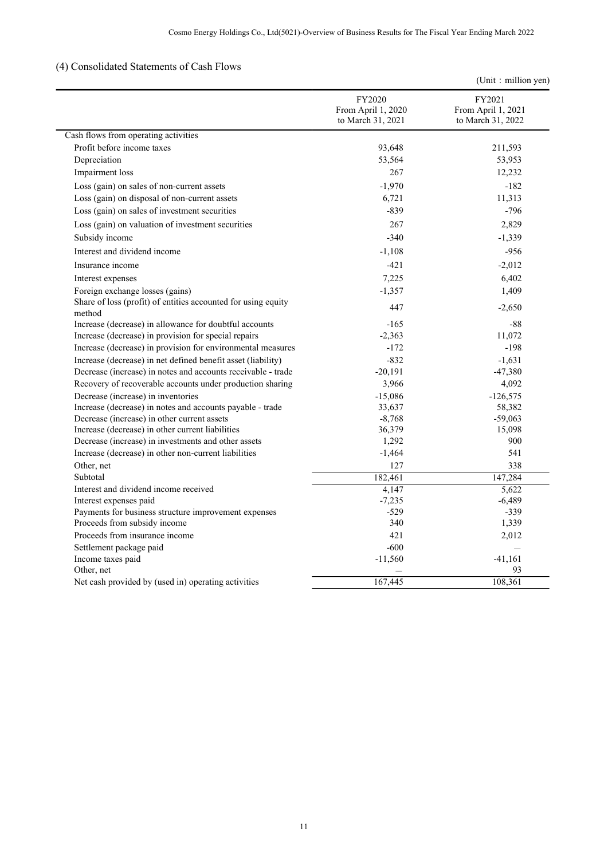# (4) Consolidated Statements of Cash Flows

|  |  | (Unit : million yen) |  |
|--|--|----------------------|--|
|--|--|----------------------|--|

|                                                                         | FY2020<br>From April 1, 2020<br>to March 31, 2021 | FY2021<br>From April 1, 2021<br>to March 31, 2022 |
|-------------------------------------------------------------------------|---------------------------------------------------|---------------------------------------------------|
| Cash flows from operating activities                                    |                                                   |                                                   |
| Profit before income taxes                                              | 93,648                                            | 211,593                                           |
| Depreciation                                                            | 53,564                                            | 53,953                                            |
| Impairment loss                                                         | 267                                               | 12,232                                            |
| Loss (gain) on sales of non-current assets                              | $-1,970$                                          | $-182$                                            |
| Loss (gain) on disposal of non-current assets                           | 6,721                                             | 11,313                                            |
| Loss (gain) on sales of investment securities                           | $-839$                                            | $-796$                                            |
| Loss (gain) on valuation of investment securities                       | 267                                               | 2,829                                             |
|                                                                         |                                                   |                                                   |
| Subsidy income                                                          | $-340$                                            | $-1,339$                                          |
| Interest and dividend income                                            | $-1,108$                                          | $-956$                                            |
| Insurance income                                                        | $-421$                                            | $-2,012$                                          |
| Interest expenses                                                       | 7,225                                             | 6,402                                             |
| Foreign exchange losses (gains)                                         | $-1,357$                                          | 1,409                                             |
| Share of loss (profit) of entities accounted for using equity<br>method | 447                                               | $-2,650$                                          |
| Increase (decrease) in allowance for doubtful accounts                  | $-165$                                            | $-88$                                             |
| Increase (decrease) in provision for special repairs                    | $-2,363$                                          | 11,072                                            |
| Increase (decrease) in provision for environmental measures             | $-172$                                            | $-198$                                            |
| Increase (decrease) in net defined benefit asset (liability)            | $-832$                                            | $-1,631$                                          |
| Decrease (increase) in notes and accounts receivable - trade            | $-20,191$                                         | $-47,380$                                         |
| Recovery of recoverable accounts under production sharing               | 3,966                                             | 4,092                                             |
| Decrease (increase) in inventories                                      | $-15,086$                                         | $-126,575$                                        |
| Increase (decrease) in notes and accounts payable - trade               | 33,637                                            | 58,382                                            |
| Decrease (increase) in other current assets                             | $-8,768$                                          | $-59,063$                                         |
| Increase (decrease) in other current liabilities                        | 36,379                                            | 15,098                                            |
| Decrease (increase) in investments and other assets                     | 1,292                                             | 900                                               |
| Increase (decrease) in other non-current liabilities                    | $-1,464$                                          | 541                                               |
| Other, net                                                              | 127                                               | 338                                               |
| Subtotal                                                                | 182,461                                           | 147,284                                           |
| Interest and dividend income received                                   | 4.147                                             | 5,622                                             |
| Interest expenses paid                                                  | $-7,235$                                          | $-6,489$                                          |
| Payments for business structure improvement expenses                    | $-529$                                            | $-339$                                            |
| Proceeds from subsidy income                                            | 340                                               | 1,339                                             |
| Proceeds from insurance income                                          | 421                                               | 2,012                                             |
| Settlement package paid                                                 | $-600$                                            |                                                   |
| Income taxes paid                                                       | $-11,560$                                         | $-41,161$                                         |
| Other, net                                                              |                                                   | 93                                                |
| Net cash provided by (used in) operating activities                     | 167,445                                           | 108,361                                           |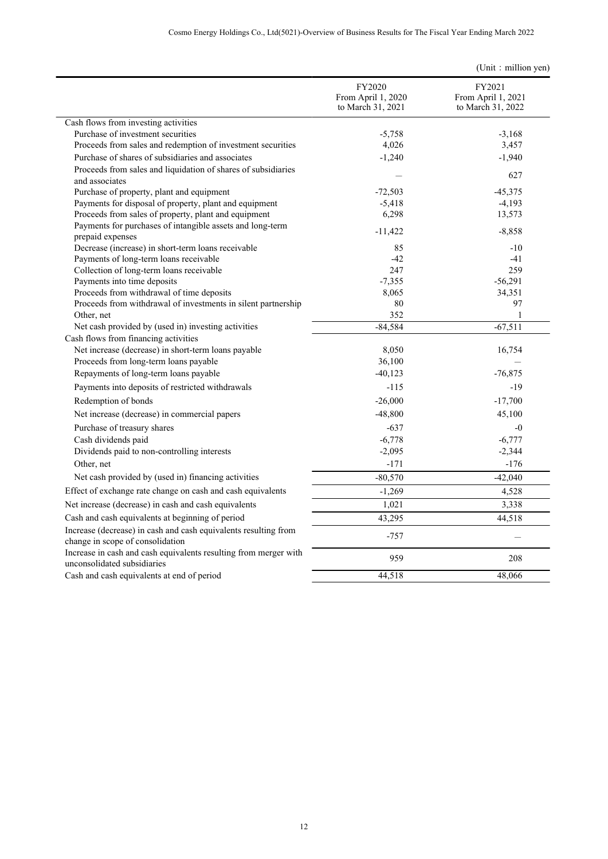|                                                                                                     | FY2020<br>From April 1, 2020<br>to March 31, 2021 | FY2021<br>From April 1, 2021<br>to March 31, 2022 |
|-----------------------------------------------------------------------------------------------------|---------------------------------------------------|---------------------------------------------------|
| Cash flows from investing activities                                                                |                                                   |                                                   |
| Purchase of investment securities                                                                   | $-5,758$                                          | $-3,168$                                          |
| Proceeds from sales and redemption of investment securities                                         | 4,026                                             | 3,457                                             |
| Purchase of shares of subsidiaries and associates                                                   | $-1,240$                                          | $-1,940$                                          |
| Proceeds from sales and liquidation of shares of subsidiaries<br>and associates                     |                                                   | 627                                               |
| Purchase of property, plant and equipment                                                           | $-72,503$                                         | $-45.375$                                         |
| Payments for disposal of property, plant and equipment                                              | $-5,418$                                          | $-4,193$                                          |
| Proceeds from sales of property, plant and equipment                                                | 6,298                                             | 13,573                                            |
| Payments for purchases of intangible assets and long-term<br>prepaid expenses                       | $-11,422$                                         | $-8,858$                                          |
| Decrease (increase) in short-term loans receivable                                                  | 85                                                | $-10$                                             |
| Payments of long-term loans receivable                                                              | $-42$                                             | $-41$                                             |
| Collection of long-term loans receivable                                                            | 247                                               | 259                                               |
| Payments into time deposits                                                                         | $-7,355$                                          | $-56,291$                                         |
| Proceeds from withdrawal of time deposits                                                           | 8,065                                             | 34,351                                            |
| Proceeds from withdrawal of investments in silent partnership                                       | 80                                                | 97                                                |
| Other, net                                                                                          | 352                                               | $\mathbf{1}$                                      |
| Net cash provided by (used in) investing activities                                                 | $-84,584$                                         | $-67,511$                                         |
| Cash flows from financing activities                                                                |                                                   |                                                   |
| Net increase (decrease) in short-term loans payable                                                 | 8,050                                             | 16,754                                            |
| Proceeds from long-term loans payable                                                               | 36,100                                            |                                                   |
| Repayments of long-term loans payable                                                               | $-40,123$                                         | $-76,875$                                         |
| Payments into deposits of restricted withdrawals                                                    | $-115$                                            | $-19$                                             |
| Redemption of bonds                                                                                 | $-26,000$                                         | $-17,700$                                         |
| Net increase (decrease) in commercial papers                                                        | $-48,800$                                         | 45,100                                            |
| Purchase of treasury shares                                                                         | $-637$                                            | $-0$                                              |
| Cash dividends paid                                                                                 | $-6,778$                                          | $-6,777$                                          |
| Dividends paid to non-controlling interests                                                         | $-2,095$                                          | $-2,344$                                          |
| Other, net                                                                                          | $-171$                                            | $-176$                                            |
| Net cash provided by (used in) financing activities                                                 | $-80,570$                                         | $-42,040$                                         |
| Effect of exchange rate change on cash and cash equivalents                                         | $-1,269$                                          | 4,528                                             |
| Net increase (decrease) in cash and cash equivalents                                                | 1,021                                             | 3,338                                             |
| Cash and cash equivalents at beginning of period                                                    | 43,295                                            | 44,518                                            |
| Increase (decrease) in cash and cash equivalents resulting from<br>change in scope of consolidation | $-757$                                            |                                                   |
| Increase in cash and cash equivalents resulting from merger with<br>unconsolidated subsidiaries     | 959                                               | 208                                               |
| Cash and cash equivalents at end of period                                                          | 44,518                                            | 48,066                                            |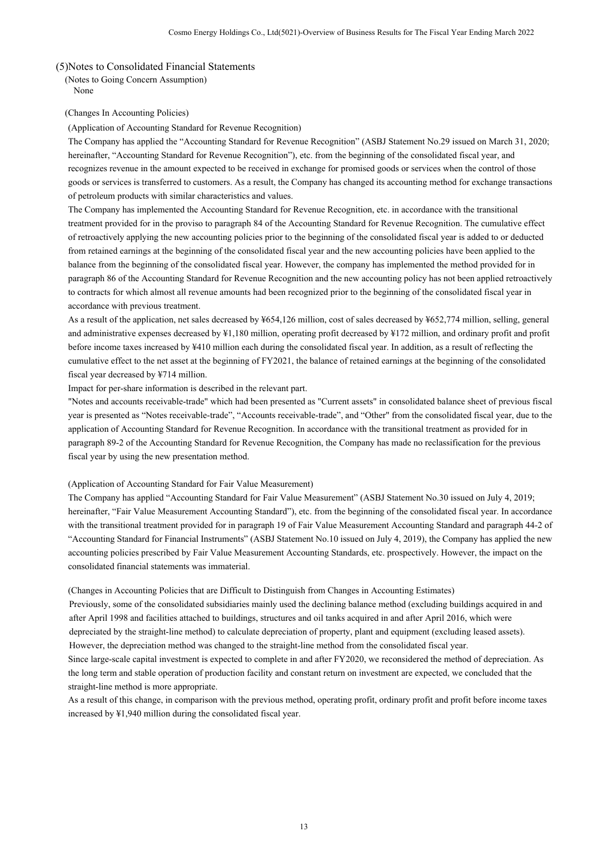## (5)Notes to Consolidated Financial Statements

(Notes to Going Concern Assumption) None

(Changes In Accounting Policies)

(Application of Accounting Standard for Revenue Recognition)

The Company has applied the "Accounting Standard for Revenue Recognition" (ASBJ Statement No.29 issued on March 31, 2020; hereinafter, "Accounting Standard for Revenue Recognition"), etc. from the beginning of the consolidated fiscal year, and recognizes revenue in the amount expected to be received in exchange for promised goods or services when the control of those goods or services is transferred to customers. As a result, the Company has changed its accounting method for exchange transactions of petroleum products with similar characteristics and values.

The Company has implemented the Accounting Standard for Revenue Recognition, etc. in accordance with the transitional treatment provided for in the proviso to paragraph 84 of the Accounting Standard for Revenue Recognition. The cumulative effect of retroactively applying the new accounting policies prior to the beginning of the consolidated fiscal year is added to or deducted from retained earnings at the beginning of the consolidated fiscal year and the new accounting policies have been applied to the balance from the beginning of the consolidated fiscal year. However, the company has implemented the method provided for in paragraph 86 of the Accounting Standard for Revenue Recognition and the new accounting policy has not been applied retroactively to contracts for which almost all revenue amounts had been recognized prior to the beginning of the consolidated fiscal year in accordance with previous treatment.

As a result of the application, net sales decreased by ¥654,126 million, cost of sales decreased by ¥652,774 million, selling, general and administrative expenses decreased by ¥1,180 million, operating profit decreased by ¥172 million, and ordinary profit and profit before income taxes increased by ¥410 million each during the consolidated fiscal year. In addition, as a result of reflecting the cumulative effect to the net asset at the beginning of FY2021, the balance of retained earnings at the beginning of the consolidated fiscal year decreased by ¥714 million.

Impact for per-share information is described in the relevant part.

"Notes and accounts receivable-trade" which had been presented as "Current assets" in consolidated balance sheet of previous fiscal year is presented as "Notes receivable-trade", "Accounts receivable-trade", and "Other" from the consolidated fiscal year, due to the application of Accounting Standard for Revenue Recognition. In accordance with the transitional treatment as provided for in paragraph 89-2 of the Accounting Standard for Revenue Recognition, the Company has made no reclassification for the previous fiscal year by using the new presentation method.

### (Application of Accounting Standard for Fair Value Measurement)

The Company has applied "Accounting Standard for Fair Value Measurement" (ASBJ Statement No.30 issued on July 4, 2019; hereinafter, "Fair Value Measurement Accounting Standard"), etc. from the beginning of the consolidated fiscal year. In accordance with the transitional treatment provided for in paragraph 19 of Fair Value Measurement Accounting Standard and paragraph 44-2 of "Accounting Standard for Financial Instruments" (ASBJ Statement No.10 issued on July 4, 2019), the Company has applied the new accounting policies prescribed by Fair Value Measurement Accounting Standards, etc. prospectively. However, the impact on the consolidated financial statements was immaterial.

(Changes in Accounting Policies that are Difficult to Distinguish from Changes in Accounting Estimates)

Previously, some of the consolidated subsidiaries mainly used the declining balance method (excluding buildings acquired in and after April 1998 and facilities attached to buildings, structures and oil tanks acquired in and after April 2016, which were depreciated by the straight-line method) to calculate depreciation of property, plant and equipment (excluding leased assets). However, the depreciation method was changed to the straight-line method from the consolidated fiscal year.

Since large-scale capital investment is expected to complete in and after FY2020, we reconsidered the method of depreciation. As the long term and stable operation of production facility and constant return on investment are expected, we concluded that the straight-line method is more appropriate.

As a result of this change, in comparison with the previous method, operating profit, ordinary profit and profit before income taxes increased by ¥1,940 million during the consolidated fiscal year.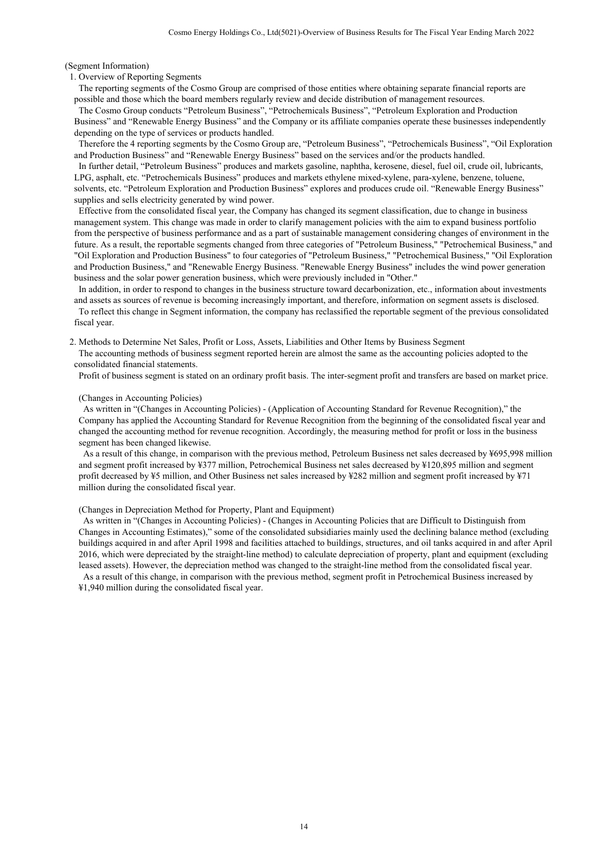(Segment Information)

#### 1. Overview of Reporting Segments

 The reporting segments of the Cosmo Group are comprised of those entities where obtaining separate financial reports are possible and those which the board members regularly review and decide distribution of management resources.

 The Cosmo Group conducts "Petroleum Business", "Petrochemicals Business", "Petroleum Exploration and Production Business" and "Renewable Energy Business" and the Company or its affiliate companies operate these businesses independently depending on the type of services or products handled.

 Therefore the 4 reporting segments by the Cosmo Group are, "Petroleum Business", "Petrochemicals Business", "Oil Exploration and Production Business" and "Renewable Energy Business" based on the services and/or the products handled.

 In further detail, "Petroleum Business" produces and markets gasoline, naphtha, kerosene, diesel, fuel oil, crude oil, lubricants, LPG, asphalt, etc. "Petrochemicals Business" produces and markets ethylene mixed-xylene, para-xylene, benzene, toluene, solvents, etc. "Petroleum Exploration and Production Business" explores and produces crude oil. "Renewable Energy Business" supplies and sells electricity generated by wind power.

 Effective from the consolidated fiscal year, the Company has changed its segment classification, due to change in business management system. This change was made in order to clarify management policies with the aim to expand business portfolio from the perspective of business performance and as a part of sustainable management considering changes of environment in the future. As a result, the reportable segments changed from three categories of "Petroleum Business," "Petrochemical Business," and "Oil Exploration and Production Business" to four categories of "Petroleum Business," "Petrochemical Business," "Oil Exploration and Production Business," and "Renewable Energy Business. "Renewable Energy Business" includes the wind power generation business and the solar power generation business, which were previously included in "Other."

 In addition, in order to respond to changes in the business structure toward decarbonization, etc., information about investments and assets as sources of revenue is becoming increasingly important, and therefore, information on segment assets is disclosed. To reflect this change in Segment information, the company has reclassified the reportable segment of the previous consolidated fiscal year.

2. Methods to Determine Net Sales, Profit or Loss, Assets, Liabilities and Other Items by Business Segment The accounting methods of business segment reported herein are almost the same as the accounting policies adopted to the consolidated financial statements.

Profit of business segment is stated on an ordinary profit basis. The inter-segment profit and transfers are based on market price.

### (Changes in Accounting Policies)

 As written in "(Changes in Accounting Policies) - (Application of Accounting Standard for Revenue Recognition)," the Company has applied the Accounting Standard for Revenue Recognition from the beginning of the consolidated fiscal year and changed the accounting method for revenue recognition. Accordingly, the measuring method for profit or loss in the business segment has been changed likewise.

 As a result of this change, in comparison with the previous method, Petroleum Business net sales decreased by ¥695,998 million and segment profit increased by ¥377 million, Petrochemical Business net sales decreased by ¥120,895 million and segment profit decreased by ¥5 million, and Other Business net sales increased by ¥282 million and segment profit increased by ¥71 million during the consolidated fiscal year.

### (Changes in Depreciation Method for Property, Plant and Equipment)

 As written in "(Changes in Accounting Policies) - (Changes in Accounting Policies that are Difficult to Distinguish from Changes in Accounting Estimates)," some of the consolidated subsidiaries mainly used the declining balance method (excluding buildings acquired in and after April 1998 and facilities attached to buildings, structures, and oil tanks acquired in and after April 2016, which were depreciated by the straight-line method) to calculate depreciation of property, plant and equipment (excluding leased assets). However, the depreciation method was changed to the straight-line method from the consolidated fiscal year. As a result of this change, in comparison with the previous method, segment profit in Petrochemical Business increased by ¥1,940 million during the consolidated fiscal year.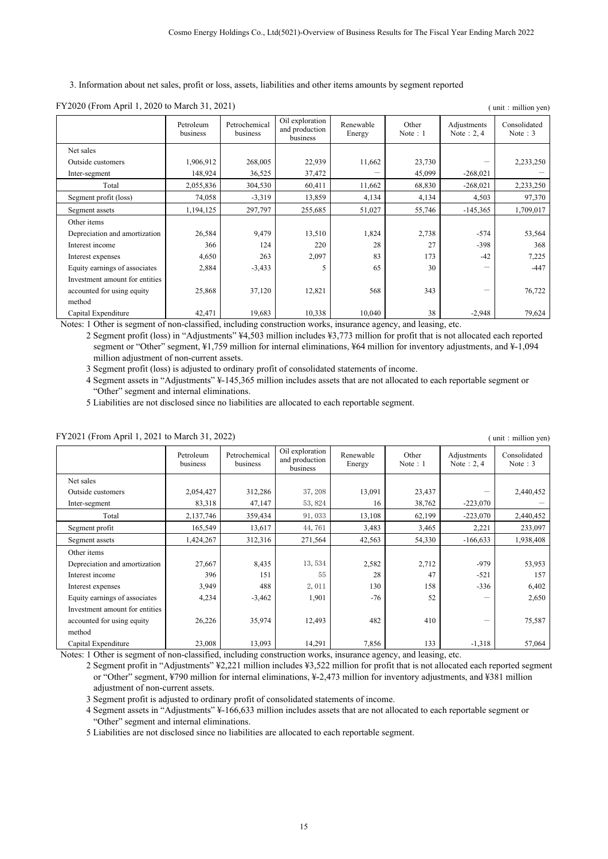3. Information about net sales, profit or loss, assets, liabilities and other items amounts by segment reported

| $1.12020$ (110m <i>1</i> spin 1, 2020 to march 31, 2021)<br>$\mu$ . $\mu$ $\mu$ $\mu$ $\mu$ $\mu$ |                       |                           |                                               |                     |                     |                              |                            |
|---------------------------------------------------------------------------------------------------|-----------------------|---------------------------|-----------------------------------------------|---------------------|---------------------|------------------------------|----------------------------|
|                                                                                                   | Petroleum<br>business | Petrochemical<br>business | Oil exploration<br>and production<br>business | Renewable<br>Energy | Other<br>Note $: 1$ | Adjustments<br>Note $: 2, 4$ | Consolidated<br>Note $: 3$ |
| Net sales                                                                                         |                       |                           |                                               |                     |                     |                              |                            |
| Outside customers                                                                                 | 1,906,912             | 268,005                   | 22,939                                        | 11,662              | 23,730              |                              | 2,233,250                  |
| Inter-segment                                                                                     | 148,924               | 36,525                    | 37,472                                        |                     | 45,099              | $-268,021$                   |                            |
| Total                                                                                             | 2,055,836             | 304,530                   | 60,411                                        | 11,662              | 68,830              | $-268,021$                   | 2,233,250                  |
| Segment profit (loss)                                                                             | 74,058                | $-3,319$                  | 13,859                                        | 4,134               | 4,134               | 4,503                        | 97,370                     |
| Segment assets                                                                                    | 1,194,125             | 297,797                   | 255,685                                       | 51,027              | 55,746              | $-145,365$                   | 1,709,017                  |
| Other items                                                                                       |                       |                           |                                               |                     |                     |                              |                            |
| Depreciation and amortization                                                                     | 26,584                | 9,479                     | 13,510                                        | 1,824               | 2,738               | $-574$                       | 53,564                     |
| Interest income                                                                                   | 366                   | 124                       | 220                                           | 28                  | 27                  | $-398$                       | 368                        |
| Interest expenses                                                                                 | 4,650                 | 263                       | 2,097                                         | 83                  | 173                 | $-42$                        | 7,225                      |
| Equity earnings of associates                                                                     | 2,884                 | $-3,433$                  | 5                                             | 65                  | 30                  |                              | $-447$                     |
| Investment amount for entities                                                                    |                       |                           |                                               |                     |                     |                              |                            |
| accounted for using equity                                                                        | 25,868                | 37,120                    | 12,821                                        | 568                 | 343                 |                              | 76,722                     |
| method                                                                                            |                       |                           |                                               |                     |                     |                              |                            |
| Capital Expenditure                                                                               | 42,471                | 19,683                    | 10,338                                        | 10,040              | 38                  | $-2,948$                     | 79,624                     |

 $\text{FY2020 (From April 1, 2020 to March 31, 2021)}$  (unit: million yen)

Notes: 1 Other is segment of non-classified, including construction works, insurance agency, and leasing, etc.

2 Segment profit (loss) in "Adjustments" ¥4,503 million includes ¥3,773 million for profit that is not allocated each reported segment or "Other" segment, ¥1,759 million for internal eliminations, ¥64 million for inventory adjustments, and ¥-1,094 million adjustment of non-current assets.

3 Segment profit (loss) is adjusted to ordinary profit of consolidated statements of income.

4 Segment assets in "Adjustments" ¥-145,365 million includes assets that are not allocated to each reportable segment or "Other" segment and internal eliminations.

5 Liabilities are not disclosed since no liabilities are allocated to each reportable segment.

### FY2021 (From April 1, 2021 to March 31, 2022) ( unit: million yen)

|                                | Petroleum<br>business | Petrochemical<br>business | Oil exploration<br>and production<br>business | Renewable<br>Energy | Other<br>Note: $1$ | Adjustments<br>Note $: 2, 4$ | Consolidated<br>Note: $3$ |
|--------------------------------|-----------------------|---------------------------|-----------------------------------------------|---------------------|--------------------|------------------------------|---------------------------|
| Net sales                      |                       |                           |                                               |                     |                    |                              |                           |
| Outside customers              | 2,054,427             | 312,286                   | 37, 208                                       | 13,091              | 23,437             |                              | 2,440,452                 |
| Inter-segment                  | 83,318                | 47,147                    | 53, 824                                       | 16                  | 38,762             | $-223,070$                   |                           |
| Total                          | 2,137,746             | 359,434                   | 91,033                                        | 13,108              | 62,199             | $-223,070$                   | 2,440,452                 |
| Segment profit                 | 165,549               | 13,617                    | 44,761                                        | 3,483               | 3,465              | 2,221                        | 233,097                   |
| Segment assets                 | 1,424,267             | 312,316                   | 271,564                                       | 42,563              | 54,330             | $-166,633$                   | 1,938,408                 |
| Other items                    |                       |                           |                                               |                     |                    |                              |                           |
| Depreciation and amortization  | 27,667                | 8,435                     | 13,534                                        | 2,582               | 2,712              | $-979$                       | 53,953                    |
| Interest income                | 396                   | 151                       | 55                                            | 28                  | 47                 | $-521$                       | 157                       |
| Interest expenses              | 3,949                 | 488                       | 2,011                                         | 130                 | 158                | $-336$                       | 6,402                     |
| Equity earnings of associates  | 4,234                 | $-3,462$                  | 1,901                                         | $-76$               | 52                 |                              | 2,650                     |
| Investment amount for entities |                       |                           |                                               |                     |                    |                              |                           |
| accounted for using equity     | 26,226                | 35,974                    | 12,493                                        | 482                 | 410                |                              | 75,587                    |
| method                         |                       |                           |                                               |                     |                    |                              |                           |
| Capital Expenditure            | 23,008                | 13,093                    | 14,291                                        | 7,856               | 133                | $-1,318$                     | 57,064                    |

Notes: 1 Other is segment of non-classified, including construction works, insurance agency, and leasing, etc.

2 Segment profit in "Adjustments" ¥2,221 million includes ¥3,522 million for profit that is not allocated each reported segment or "Other" segment, ¥790 million for internal eliminations, ¥-2,473 million for inventory adjustments, and ¥381 million adjustment of non-current assets.

3 Segment profit is adjusted to ordinary profit of consolidated statements of income.

4 Segment assets in "Adjustments" ¥-166,633 million includes assets that are not allocated to each reportable segment or "Other" segment and internal eliminations.

5 Liabilities are not disclosed since no liabilities are allocated to each reportable segment.